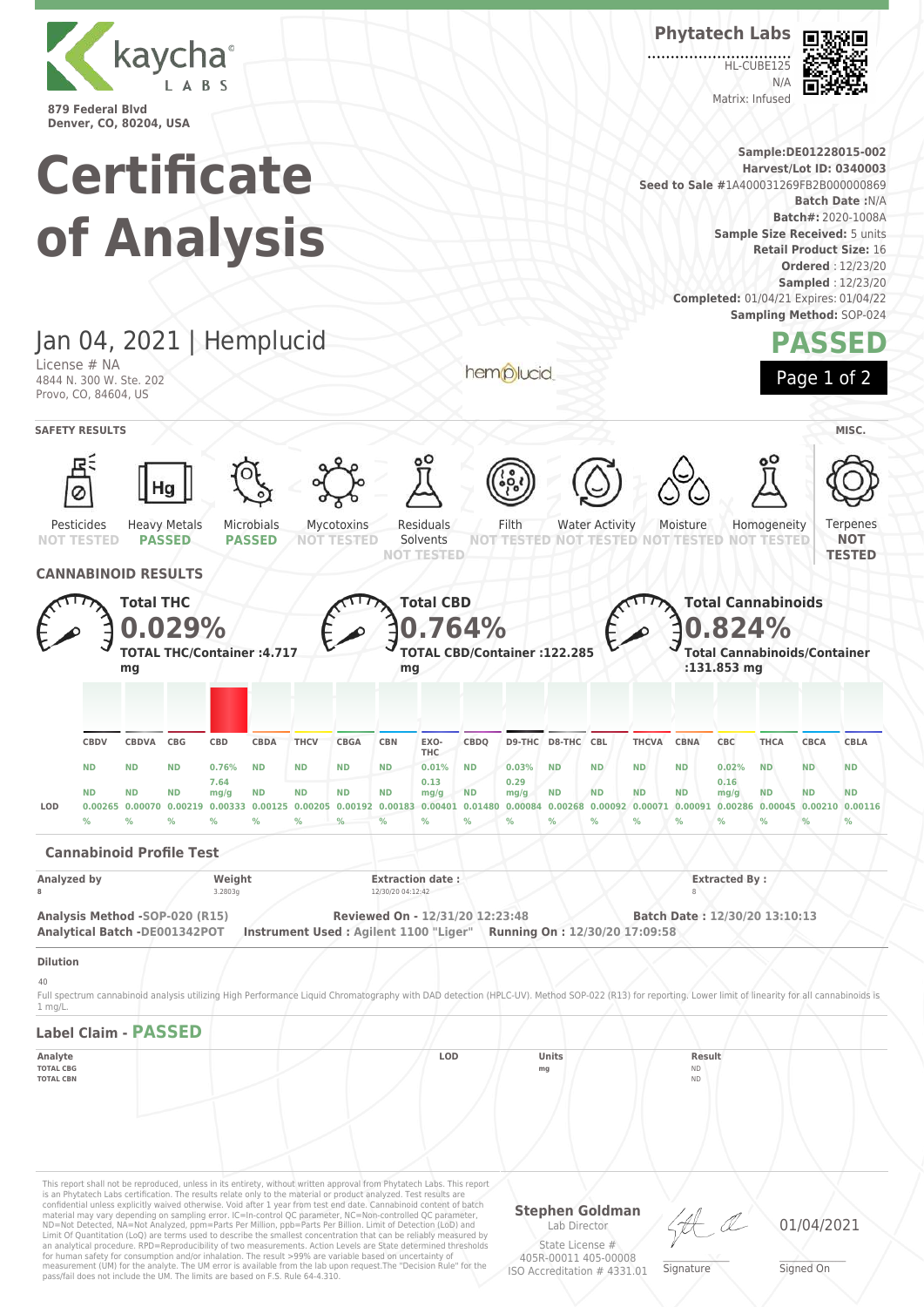

# **Certificate of Analysis**

**Phytatech Labs**

HL-CUBE125  $N/4$ Matrix: Infused



**Sample:DE01228015-002 Harvest/Lot ID: 0340003 Seed to Sale #**1A400031269FB2B000000869 **Batch Date :**N/A **Batch#:** 2020-1008A **Sample Size Received:** 5 units **Retail Product Size:** 16 **Ordered** : 12/23/20 **Sampled** : 12/23/20 **Completed:** 01/04/21 Expires: 01/04/22 **Sampling Method:** SOP-024



Jan 04, 2021 | Hemplucid License # NA 4844 N. 300 W. Ste. 202 Provo, CO, 84604, US

Яl Ø Residuals Water Activity Ternenes Microbials Filth Homogeneity Pesticides Heavy Metals Mycotoxins Moisture **PASSED PASSED** Solvents **TESTED NOT NOT NOT TESTED NOT TESTED NOT TESTED NOT TESTED NOT TESTED NOT TESTED TESTED CANNABINOID RESULTS Total CBD Total THC Total Cannabinoids 0.029% 0.824% 0.764% TOTAL THC/Container :4.717 TOTAL CBD/Container :122.285 Total Cannabinoids/Container mg mg :131.853 mg CBDQ D9-THC D8-THC CBL THCVA CBNA CBC THCA CBCA CBLA CBDV CBDVA CBG CBD CBDA THCV CBGA CBN EXO-THC ND ND ND 0.76% ND ND ND ND 0.01% ND 0.03% ND ND ND ND 0.02% ND ND ND 7.64 0.13 0.29 0.16 ND ND ND mg/g ND ND ND ND mg/g ND mg/g ND ND ND ND mg/g ND ND ND** LOD 0.00265 0.00070 0.00219 0.00333 0.00125 0.00205 0.00192 0.00183 0.00401 0.01480 0.00084 0.00268 0.00092 0.00071 0.00091 0.00286 0.00045 0.00210 0.00116 **% % % % % % % % % % % % % % % % % % % Cannabinoid Profile Test Analyzed by Weight Extraction date : Extracted By : 8** 3.2803g **12/30/20 04:12:42 8 Analysis Method -SOP-020 (R15) Reviewed On - 12/31/20 12:23:48 Batch Date : 12/30/20 13:10:13 Analytical Batch -DE001342POT Instrument Used : Agilent 1100 "Liger" Running On : 12/30/20 17:09:58**

**SAFETY RESULTS** MISC.

hemplucid

**Dilution**

 $40$ 

Full spectrum cannabinoid analysis utilizing High Performance Liquid Chromatography with DAD detection (HPLC-UV). Method SOP-022 (R13) for reporting. Lower limit of linearity for all cannabinoids is 1 mg/L.

### **Label Claim - PASSED**

**Analyte LOD Units Result TOTAL CBG mg** ND

**TOTAL CBN** ND

This report shall not be reproduced, unless in its entirety, without written approval from Phytatech Labs. This report is an Phytatech Labs certification. The results relate only to the material or product analyzed. Test results are<br>confidential unless explicitly waived otherwise. Void after 1 year from test end date. Cannabinoid content o Limit Of Quantitation (LoQ) are terms used to describe the smallest concentration that can be reliably measured by an analytical procedure. RPD=Reproducibility of two measurements. Action Levels are State determined thresholds for human safety for consumption and/or inhalation. The result >99% are variable based on uncertainty of measurement (UM) for the analyte. The UM error is available from the lab upon request.The "Decision Rule" for the pass/fail does not include the UM. The limits are based on F.S. Rule 64-4.310.

**Stephen Goldman** Lab Director State License # 405R-00011 405-00008 ISO Accreditation # 4331.01

\_\_\_\_\_\_\_\_\_\_\_\_\_\_\_\_\_\_\_ Signature

01/04/2021

\_\_\_\_\_\_\_\_\_\_\_\_\_\_\_\_\_\_\_ Signed On